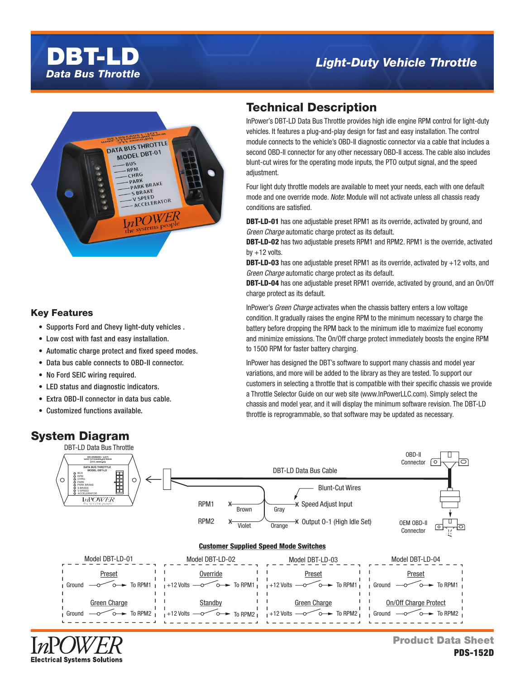# *Data Bus Throttle* DBT-LD

## *Light-Duty Vehicle Throttle*



### Key Features

- Supports Ford and Chevy light-duty vehicles .
- Low cost with fast and easy installation.
- Automatic charge protect and fixed speed modes.
- Data bus cable connects to OBD-II connector.
- No Ford SEIC wiring required.
- LED status and diagnostic indicators.
- Extra OBD-II connector in data bus cable.
- Customized functions available.

### System Diagram

## Technical Description

InPower's DBT-LD Data Bus Throttle provides high idle engine RPM control for light-duty vehicles. It features a plug-and-play design for fast and easy installation. The control module connects to the vehicle's OBD-II diagnostic connector via a cable that includes a second OBD-II connector for any other necessary OBD-II access. The cable also includes blunt-cut wires for the operating mode inputs, the PTO output signal, and the speed adjustment.

Four light duty throttle models are available to meet your needs, each with one default mode and one override mode. Note: Module will not activate unless all chassis ready conditions are satisfied.

**DBT-LD-01** has one adjustable preset RPM1 as its override, activated by ground, and Green Charge automatic charge protect as its default.

**DBT-LD-02** has two adjustable presets RPM1 and RPM2. RPM1 is the override, activated by  $+12$  volts.

**DBT-LD-03** has one adjustable preset RPM1 as its override, activated by  $+12$  volts, and Green Charge automatic charge protect as its default.

DBT-LD-04 has one adjustable preset RPM1 override, activated by ground, and an On/Off charge protect as its default.

InPower's Green Charge activates when the chassis battery enters a low voltage condition. It gradually raises the engine RPM to the minimum necessary to charge the battery before dropping the RPM back to the minimum idle to maximize fuel economy and minimize emissions. The On/Off charge protect immediately boosts the engine RPM to 1500 RPM for faster battery charging.

InPower has designed the DBT's software to support many chassis and model year variations, and more will be added to the library as they are tested. To support our customers in selecting a throttle that is compatible with their specific chassis we provide a Throttle Selector Guide on our web site (www.InPowerLLC.com). Simply select the chassis and model year, and it will display the minimum software revision. The DBT-LD throttle is reprogrammable, so that software may be updated as necessary.



**Electrical Systems Solutions** 

Product Data Sheet PDS-152D